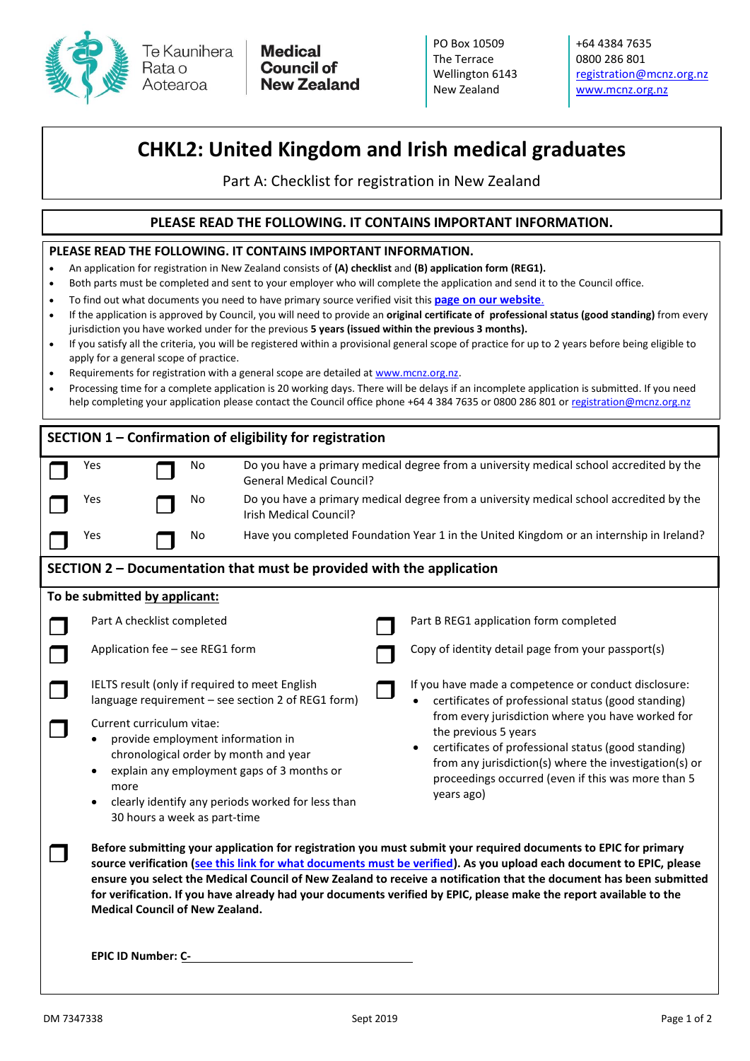

Te Kaunihera Aotearoa

**Medical Council of New Zealand**  PO Box 10509 The Terrace Wellington 6143 New Zealand

+64 4384 7635 0800 286 801 [registration@mcnz.org.nz](mailto:registration@mcnz.org.nz) [www.mcnz.org.nz](http://www.mcnz.org.nz/)

## **CHKL2: United Kingdom and Irish medical graduates**

Part A: Checklist for registration in New Zealand

## **PLEASE READ THE FOLLOWING. IT CONTAINS IMPORTANT INFORMATION.**

## **PLEASE READ THE FOLLOWING. IT CONTAINS IMPORTANT INFORMATION.**

- An application for registration in New Zealand consists of **(A) checklist** and **(B) application form (REG1).**
- Both parts must be completed and sent to your employer who will complete the application and send it to the Council office.
- To find out what documents you need to have primary source verified visit this **[page on our website](https://www.mcnz.org.nz/EPIC)**.
- If the application is approved by Council, you will need to provide an **original certificate of professional status (good standing)** from every jurisdiction you have worked under for the previous **5 years (issued within the previous 3 months).**
- If you satisfy all the criteria, you will be registered within a provisional general scope of practice for up to 2 years before being eligible to apply for a general scope of practice.
- Requirements for registration with a general scope are detailed at [www.mcnz.org.nz.](http://www.mcnz.org.nz/)
- Processing time for a complete application is 20 working days. There will be delays if an incomplete application is submitted. If you need help completing your application please contact the Council office phone +64 4 384 7635 or 0800 286 801 o[r registration@mcnz.org.nz](mailto:registration@mcnz.org.nz)

| SECTION 1 - Confirmation of eligibility for registration                                                                                                                                                                                                                                                                                                                                                                                                                                                                       |                                                                                                                                                                                                                                                                 |    |                                                                                                                            |  |                                                                                                                                                                                                                                                                |  |  |  |
|--------------------------------------------------------------------------------------------------------------------------------------------------------------------------------------------------------------------------------------------------------------------------------------------------------------------------------------------------------------------------------------------------------------------------------------------------------------------------------------------------------------------------------|-----------------------------------------------------------------------------------------------------------------------------------------------------------------------------------------------------------------------------------------------------------------|----|----------------------------------------------------------------------------------------------------------------------------|--|----------------------------------------------------------------------------------------------------------------------------------------------------------------------------------------------------------------------------------------------------------------|--|--|--|
|                                                                                                                                                                                                                                                                                                                                                                                                                                                                                                                                | Yes                                                                                                                                                                                                                                                             | No | Do you have a primary medical degree from a university medical school accredited by the<br><b>General Medical Council?</b> |  |                                                                                                                                                                                                                                                                |  |  |  |
|                                                                                                                                                                                                                                                                                                                                                                                                                                                                                                                                | Yes                                                                                                                                                                                                                                                             | No | Do you have a primary medical degree from a university medical school accredited by the<br><b>Irish Medical Council?</b>   |  |                                                                                                                                                                                                                                                                |  |  |  |
|                                                                                                                                                                                                                                                                                                                                                                                                                                                                                                                                | Yes                                                                                                                                                                                                                                                             | No | Have you completed Foundation Year 1 in the United Kingdom or an internship in Ireland?                                    |  |                                                                                                                                                                                                                                                                |  |  |  |
| SECTION 2 – Documentation that must be provided with the application                                                                                                                                                                                                                                                                                                                                                                                                                                                           |                                                                                                                                                                                                                                                                 |    |                                                                                                                            |  |                                                                                                                                                                                                                                                                |  |  |  |
| To be submitted by applicant:                                                                                                                                                                                                                                                                                                                                                                                                                                                                                                  |                                                                                                                                                                                                                                                                 |    |                                                                                                                            |  |                                                                                                                                                                                                                                                                |  |  |  |
|                                                                                                                                                                                                                                                                                                                                                                                                                                                                                                                                | Part A checklist completed                                                                                                                                                                                                                                      |    |                                                                                                                            |  | Part B REG1 application form completed                                                                                                                                                                                                                         |  |  |  |
|                                                                                                                                                                                                                                                                                                                                                                                                                                                                                                                                | Application fee - see REG1 form                                                                                                                                                                                                                                 |    |                                                                                                                            |  | Copy of identity detail page from your passport(s)                                                                                                                                                                                                             |  |  |  |
|                                                                                                                                                                                                                                                                                                                                                                                                                                                                                                                                | IELTS result (only if required to meet English<br>If you have made a competence or conduct disclosure:<br>language requirement - see section 2 of REG1 form)<br>certificates of professional status (good standing)                                             |    |                                                                                                                            |  |                                                                                                                                                                                                                                                                |  |  |  |
|                                                                                                                                                                                                                                                                                                                                                                                                                                                                                                                                | Current curriculum vitae:<br>provide employment information in<br>chronological order by month and year<br>explain any employment gaps of 3 months or<br>more<br>clearly identify any periods worked for less than<br>$\bullet$<br>30 hours a week as part-time |    |                                                                                                                            |  | from every jurisdiction where you have worked for<br>the previous 5 years<br>certificates of professional status (good standing)<br>from any jurisdiction(s) where the investigation(s) or<br>proceedings occurred (even if this was more than 5<br>years ago) |  |  |  |
| Before submitting your application for registration you must submit your required documents to EPIC for primary<br>source verification (see this link for what documents must be verified). As you upload each document to EPIC, please<br>ensure you select the Medical Council of New Zealand to receive a notification that the document has been submitted<br>for verification. If you have already had your documents verified by EPIC, please make the report available to the<br><b>Medical Council of New Zealand.</b> |                                                                                                                                                                                                                                                                 |    |                                                                                                                            |  |                                                                                                                                                                                                                                                                |  |  |  |
|                                                                                                                                                                                                                                                                                                                                                                                                                                                                                                                                | <b>EPIC ID Number: C-</b>                                                                                                                                                                                                                                       |    |                                                                                                                            |  |                                                                                                                                                                                                                                                                |  |  |  |